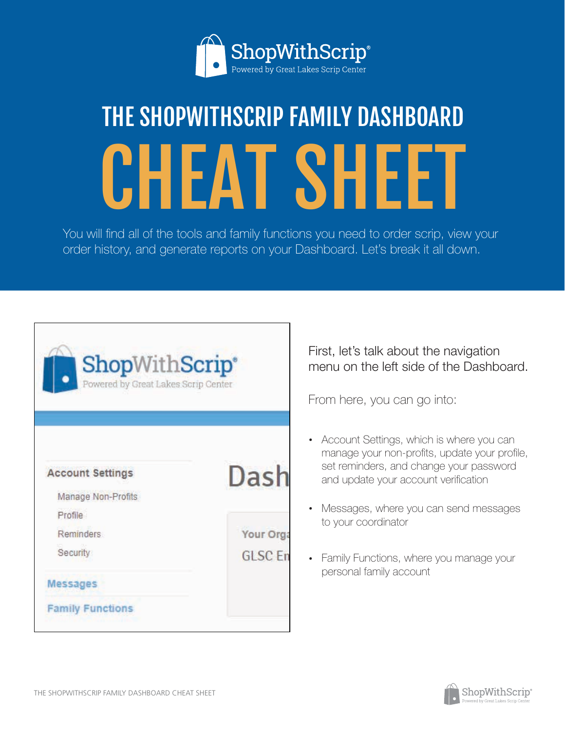

# THE SHOPWITHSCRIP FAMILY DASHBOARD CHEAT SHEET

You will find all of the tools and family functions you need to order scrip, view your order history, and generate reports on your Dashboard. Let's break it all down.

| ShopWithScrip®<br>Powered by Great Lakes Scrip Center |                |
|-------------------------------------------------------|----------------|
| <b>Account Settings</b><br>Manage Non-Profits         | Dash           |
| Profile                                               |                |
| <b>Reminders</b>                                      | Your Org       |
| Security                                              | <b>GLSC Er</b> |
| <b>Messages</b>                                       |                |
| <b>Family Functions</b>                               |                |

First, let's talk about the navigation menu on the left side of the Dashboard.

From here, you can go into:

- Account Settings, which is where you can manage your non-profits, update your profile, set reminders, and change your password and update your account verification
- Messages, where you can send messages to your coordinator
- Family Functions, where you manage your personal family account

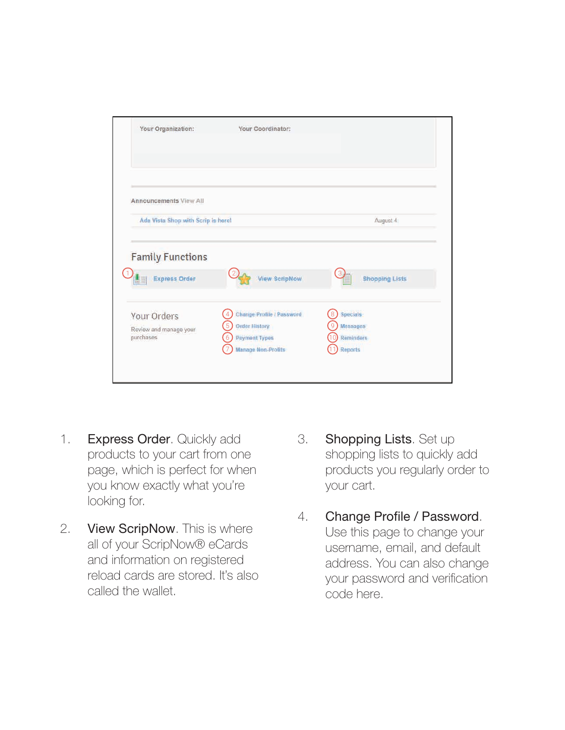| Your Organization:                              | Your Coordinator:                                      |                                          |
|-------------------------------------------------|--------------------------------------------------------|------------------------------------------|
|                                                 |                                                        |                                          |
| <b>Announcements View All</b>                   |                                                        |                                          |
| Ada Vista Shop with Scrip is here!              |                                                        | August 4                                 |
| <b>Family Functions</b><br><b>Express Order</b> | <b>View ScripNow</b>                                   | <b>Shopping Lists</b>                    |
| Your Orders                                     | Change Profile / Password<br>4                         | Specials<br>8                            |
| Review and manage your<br>purchases.            | <b>Order History</b><br>5<br><b>Payment Types</b><br>6 | <b>Messages</b><br>9<br><b>Reminders</b> |
|                                                 | <b>Manage Non-Profits</b>                              | Reports                                  |
|                                                 |                                                        |                                          |

- Express Order. Quickly add products to your cart from one page, which is perfect for when you know exactly what you're looking for. 1.
- View ScripNow. This is where all of your ScripNow® eCards and information on registered reload cards are stored. It's also called the wallet. 2.
- Shopping Lists. Set up shopping lists to quickly add products you regularly order to your cart. 3.
- Change Profile / Password. Use this page to change your username, email, and default address. You can also change your password and verification code here. 4.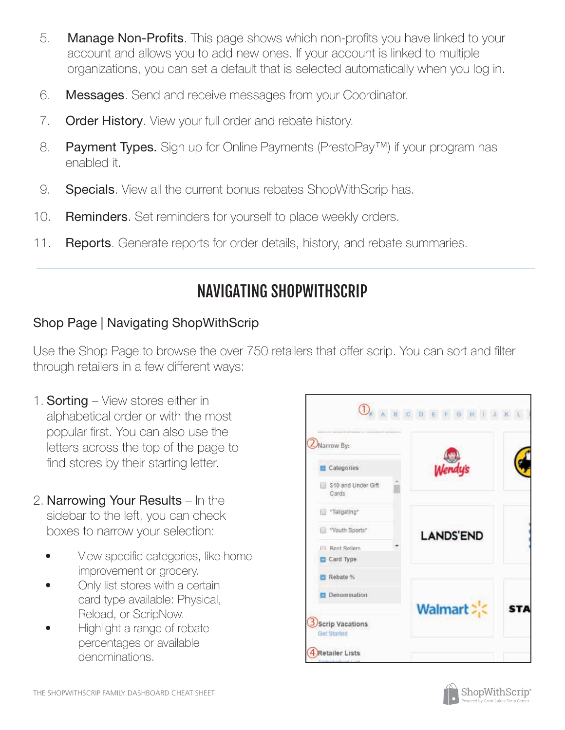- **Manage Non-Profits**. This page shows which non-profits you have linked to your account and allows you to add new ones. If your account is linked to multiple organizations, you can set a default that is selected automatically when you log in. 5.
- 6. **Messages**. Send and receive messages from your Coordinator.
- 7. Order History. View your full order and rebate history.
- Payment Types. Sign up for Online Payments (PrestoPay™) if your program has enabled it. 8.
- 9. **Specials**. View all the current bonus rebates ShopWithScrip has.
- 10. Reminders. Set reminders for yourself to place weekly orders.
- 11. **Reports**. Generate reports for order details, history, and rebate summaries.

# NAVIGATING SHOPWITHSCRIP

# Shop Page | Navigating ShopWithScrip

Use the Shop Page to browse the over 750 retailers that offer scrip. You can sort and filter through retailers in a few different ways:

- 1. **Sorting** View stores either in alphabetical order or with the most popular first. You can also use the letters across the top of the page to find stores by their starting letter.
- 2. Narrowing Your Results In the sidebar to the left, you can check boxes to narrow your selection:
	- View specific categories, like home improvement or grocery.
	- Only list stores with a certain card type available: Physical, Reload, or ScripNow.
	- Highlight a range of rebate percentages or available denominations.



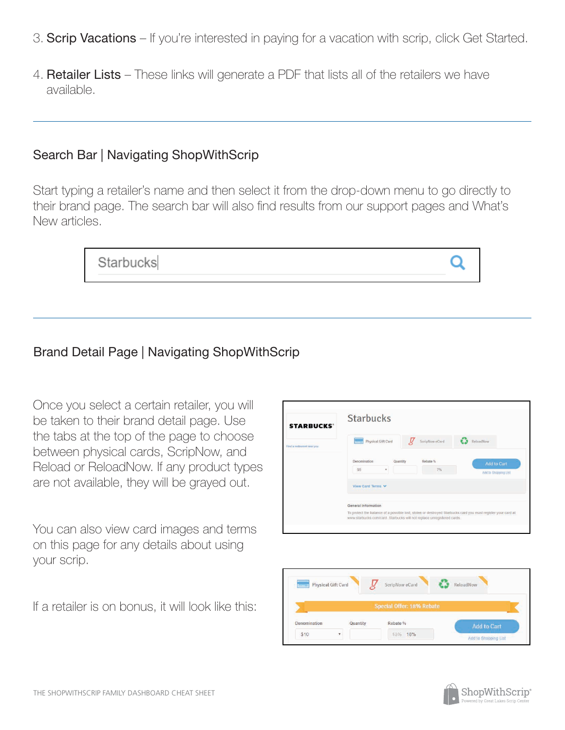- 3. Scrip Vacations If you're interested in paying for a vacation with scrip, click Get Started.
- 4. Retailer Lists These links will generate a PDF that lists all of the retailers we have available.

#### Search Bar | Navigating ShopWithScrip

Start typing a retailer's name and then select it from the drop-down menu to go directly to their brand page. The search bar will also find results from our support pages and What's New articles.

| Starbucks |  |
|-----------|--|
|-----------|--|

# Brand Detail Page | Navigating ShopWithScrip

Once you select a certain retailer, you will be taken to their brand detail page. Use the tabs at the top of the page to choose between physical cards, ScripNow, and Reload or ReloadNow. If any product types are not available, they will be grayed out.

You can also view card images and terms on this page for any details about using your scrip.

If a retailer is on bonus, it will look like this:





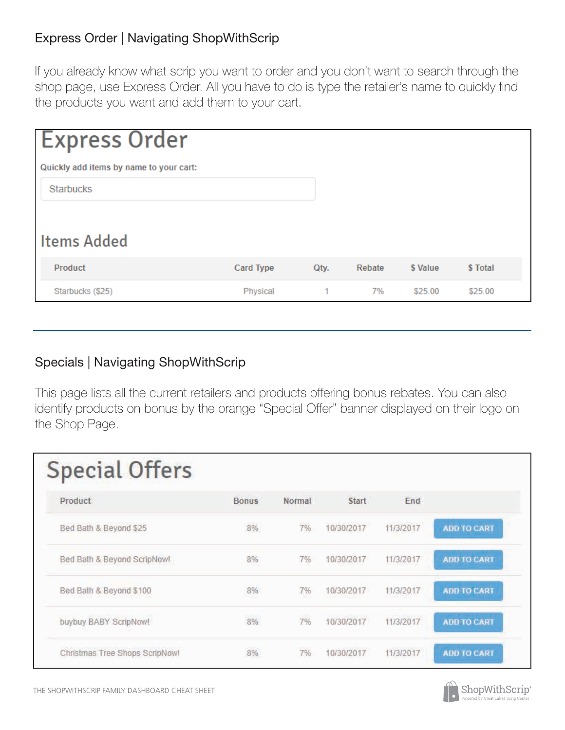#### Express Order | Navigating ShopWithScrip

If you already know what scrip you want to order and you don't want to search through the shop page, use Express Order. All you have to do is type the retailer's name to quickly find the products you want and add them to your cart.

| <b>Express Order</b>                    |                  |      |        |          |          |
|-----------------------------------------|------------------|------|--------|----------|----------|
| Quickly add items by name to your cart: |                  |      |        |          |          |
| <b>Starbucks</b>                        |                  |      |        |          |          |
|                                         |                  |      |        |          |          |
| <b>Items Added</b>                      |                  |      |        |          |          |
| Product                                 | <b>Card Type</b> | Qty. | Rebate | \$ Value | \$ Total |
| Starbucks (\$25)                        | <b>Physical</b>  | $-1$ | 7%     | \$25.00  | \$25.00  |

#### Specials | Navigating ShopWithScrip

This page lists all the current retailers and products offering bonus rebates. You can also identify products on bonus by the orange "Special Offer" banner displayed on their logo on the Shop Page.

| <b>Special Offers</b>          |              |        |              |           |                    |
|--------------------------------|--------------|--------|--------------|-----------|--------------------|
| Product                        | <b>Bonus</b> | Normal | <b>Start</b> | End       |                    |
| Bed Bath & Beyond \$25         | 8%           | 7%     | 10/30/2017   | 11/3/2017 | <b>ADD TO CART</b> |
| Bed Bath & Beyond ScripNow!    | 8%           | 7%     | 10/30/2017   | 11/3/2017 | <b>ADD TO CART</b> |
| Bed Bath & Beyond \$100        | 8%<br>nar    | 7%     | 10/30/2017   | 11/3/2017 | <b>ADD TO CART</b> |
| buybuy BABY ScripNow!          | 8%           | 7%     | 10/30/2017   | 11/3/2017 | <b>ADD TO CART</b> |
| Christmas Tree Shops ScripNow! | 8%           | 7%     | 10/30/2017   | 11/3/2017 | <b>ADD TO CART</b> |